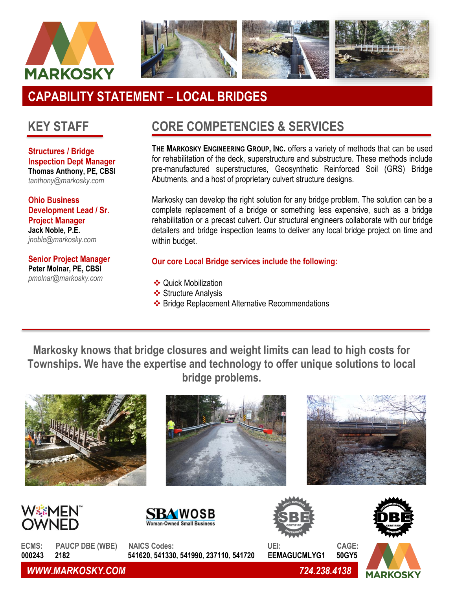



# **CAPABILITY STATEMENT – LOCAL BRIDGES**

## **KEY STAFF**

**Structures / Bridge Inspection Dept Manager Thomas Anthony, PE, CBSI** *tanthony@markosky.com*

**Ohio Business Development Lead / Sr. Project Manager Jack Noble, P.E.** *[jnoble@markosky.com](mailto:jnoble@markosky.com)*

**Senior Project Manager Peter Molnar, PE, CBSI**  *pmolnar@markosky.com*

## **CORE COMPETENCIES & SERVICES**

**THE MARKOSKY ENGINEERING GROUP, INC.** offers a variety of methods that can be used for rehabilitation of the deck, superstructure and substructure. These methods include pre-manufactured superstructures, Geosynthetic Reinforced Soil (GRS) Bridge Abutments, and a host of proprietary culvert structure designs.

Markosky can develop the right solution for any bridge problem. The solution can be a complete replacement of a bridge or something less expensive, such as a bridge rehabilitation or a precast culvert. Our structural engineers collaborate with our bridge detailers and bridge inspection teams to deliver any local bridge project on time and within budget.

#### **Our core Local Bridge services include the following:**

- ❖ Quick Mobilization
- ❖ Structure Analysis
- ❖ Bridge Replacement Alternative Recommendations

**Markosky knows that bridge closures and weight limits can lead to high costs for Townships. We have the expertise and technology to offer unique solutions to local bridge problems.** 











**ECMS: PAUCP DBE (WBE) NAICS Codes: UEI: CAGE: 000243 2182 541620, 541330, 541990, 237110, 541720 EEMAGUCMLYG1 50GY5**



*WWW.MARKOSKY.COM 724.238.4138*